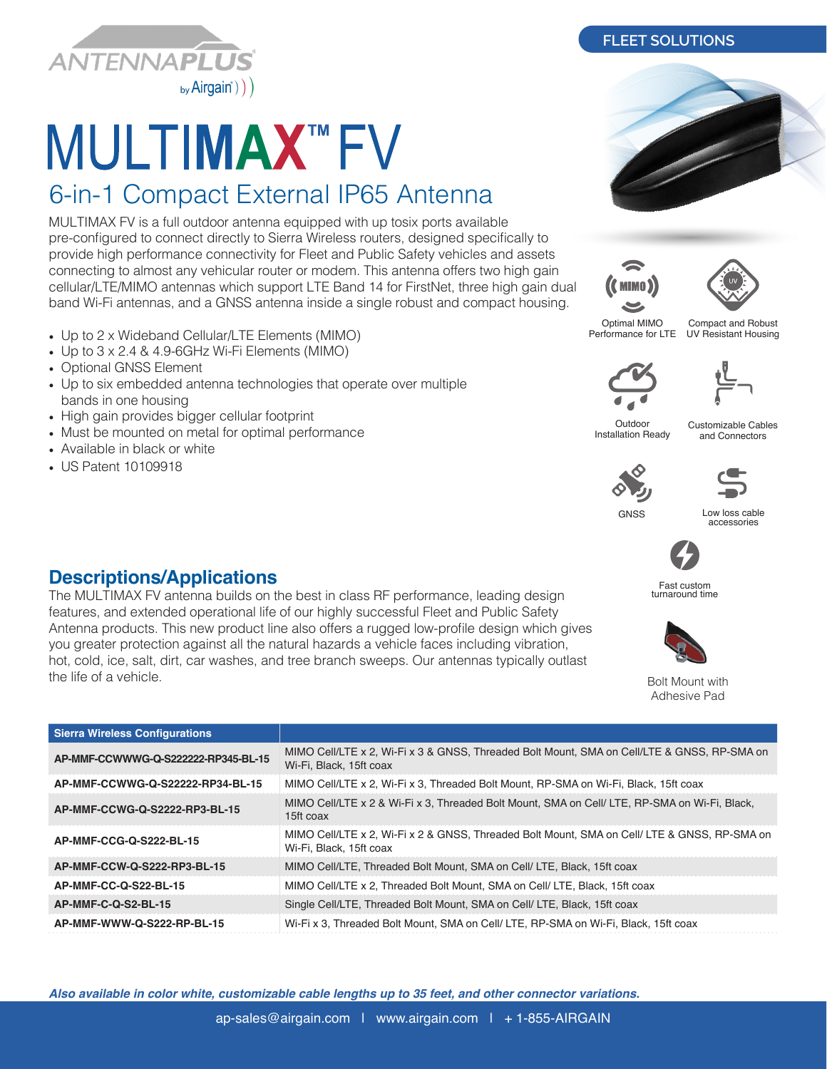

## **MULTIMAX™FV**

## 6-in-1 Compact External IP65 Antenna

MULTIMAX FV is a full outdoor antenna equipped with up tosix ports available pre-configured to connect directly to Sierra Wireless routers, designed specifically to provide high performance connectivity for Fleet and Public Safety vehicles and assets connecting to almost any vehicular router or modem. This antenna offers two high gain cellular/LTE/MIMO antennas which support LTE Band 14 for FirstNet, three high gain dual band Wi-Fi antennas, and a GNSS antenna inside a single robust and compact housing.

The MULTIMAX FV antenna builds on the best in class RF performance, leading design features, and extended operational life of our highly successful Fleet and Public Safety Antenna products. This new product line also offers a rugged low-profile design which gives you greater protection against all the natural hazards a vehicle faces including vibration, hot, cold, ice, salt, dirt, car washes, and tree branch sweeps. Our antennas typically outlast

- Up to 2 x Wideband Cellular/LTE Elements (MIMO)
- Up to 3 x 2.4 & 4.9-6GHz Wi-Fi Elements (MIMO)
- Optional GNSS Element
- Up to six embedded antenna technologies that operate over multiple bands in one housing
- High gain provides bigger cellular footprint

**Descriptions/Applications**

- Must be mounted on metal for optimal performance
- Available in black or white
- US Patent 10109918

the life of a vehicle.

Optimal MIMO

**(C** mimo )

Compact and Robust UV Resistant Housing

**Outdoor** Installation Ready

Customizable Cables and Connectors

## **GNSS**

Low loss cable accessories



Fast custom turnaround time



Bolt Mount with Adhesive Pad

| <b>Sierra Wireless Configurations</b> |                                                                                                                        |
|---------------------------------------|------------------------------------------------------------------------------------------------------------------------|
| AP-MMF-CCWWWG-Q-S222222-RP345-BL-15   | MIMO Cell/LTE x 2, Wi-Fi x 3 & GNSS, Threaded Bolt Mount, SMA on Cell/LTE & GNSS, RP-SMA on<br>Wi-Fi, Black, 15ft coax |
| AP-MMF-CCWWG-Q-S22222-RP34-BL-15      | MIMO Cell/LTE x 2, Wi-Fi x 3, Threaded Bolt Mount, RP-SMA on Wi-Fi, Black, 15ft coax                                   |
| AP-MMF-CCWG-Q-S2222-RP3-BL-15         | MIMO Cell/LTE x 2 & Wi-Fi x 3, Threaded Bolt Mount, SMA on Cell/ LTE, RP-SMA on Wi-Fi, Black,<br>15ft coax             |
| AP-MMF-CCG-Q-S222-BL-15               | MIMO Cell/LTE x 2, Wi-Fi x 2 & GNSS, Threaded Bolt Mount, SMA on Cell/LTE & GNSS, RP-SMA on<br>Wi-Fi, Black, 15ft coax |
| AP-MMF-CCW-Q-S222-RP3-BL-15           | MIMO Cell/LTE. Threaded Bolt Mount. SMA on Cell/ LTE. Black. 15ft coax                                                 |
| AP-MMF-CC-Q-S22-BL-15                 | MIMO Cell/LTE x 2, Threaded Bolt Mount, SMA on Cell/LTE, Black, 15ft coax                                              |
| AP-MMF-C-Q-S2-BL-15                   | Single Cell/LTE, Threaded Bolt Mount, SMA on Cell/ LTE, Black, 15ft coax                                               |
| AP-MMF-WWW-Q-S222-RP-BL-15            | Wi-Fi x 3, Threaded Bolt Mount, SMA on Cell/ LTE, RP-SMA on Wi-Fi, Black, 15ft coax                                    |

*Also available in color white, customizable cable lengths up to 35 feet, and other connector variations.*

ap-sales@airgain.com | www.airgain.com | + 1-855-AIRGAIN

## **FLEET SOLUTIONS**